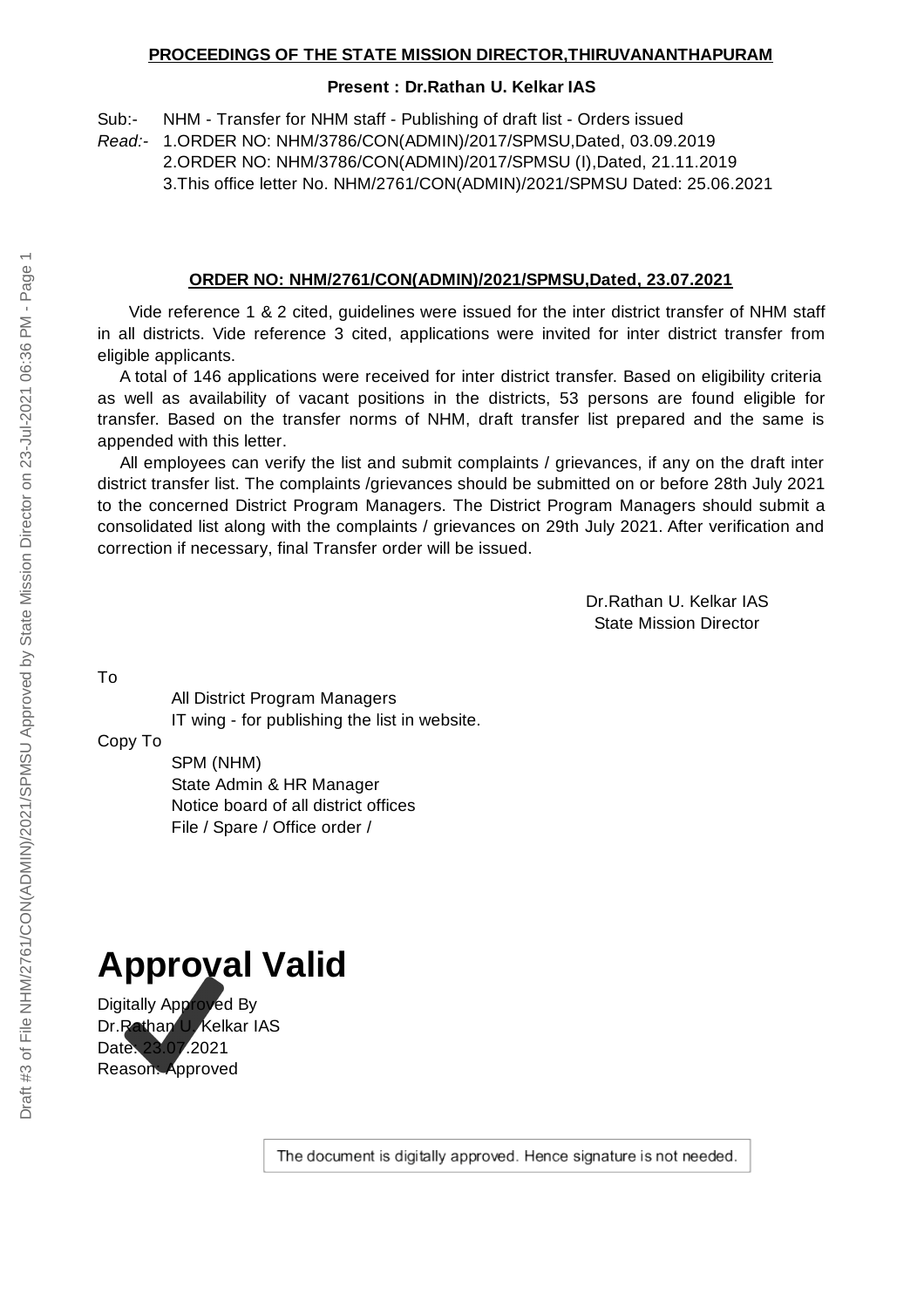## **Present : Dr.Rathan U. Kelkar IAS**

Sub:- NHM - Transfer for NHM staff - Publishing of draft list - Orders issued

*Read:-* 1.ORDER NO: NHM/3786/CON(ADMIN)/2017/SPMSU,Dated, 03.09.2019

2.ORDER NO: NHM/3786/CON(ADMIN)/2017/SPMSU (I),Dated, 21.11.2019

3.This office letter No. NHM/2761/CON(ADMIN)/2021/SPMSU Dated: 25.06.2021

## **ORDER NO: NHM/2761/CON(ADMIN)/2021/SPMSU,Dated, 23.07.2021**

Vide reference 1 & 2 cited, guidelines were issued for the inter district transfer of NHM staff in all districts. Vide reference 3 cited, applications were invited for inter district transfer from eligible applicants.

A total of 146 applications were received for inter district transfer. Based on eligibility criteria as well as availability of vacant positions in the districts, 53 persons are found eligible for transfer. Based on the transfer norms of NHM, draft transfer list prepared and the same is appended with this letter.

All employees can verify the list and submit complaints / grievances, if any on the draft inter district transfer list. The complaints /grievances should be submitted on or before 28th July 2021 to the concerned District Program Managers. The District Program Managers should submit a consolidated list along with the complaints / grievances on 29th July 2021. After verification and correction if necessary, final Transfer order will be issued.

> Dr.Rathan U. Kelkar IAS State Mission Director

To

All District Program Managers IT wing - for publishing the list in website.

Copy To

SPM (NHM) State Admin & HR Manager Notice board of all district offices File / Spare / Office order /

## **Approval Valid**

Digitally Approved By Dr.Rathan U. Kelkar IAS Date: 23.07.2021 Reason: Approved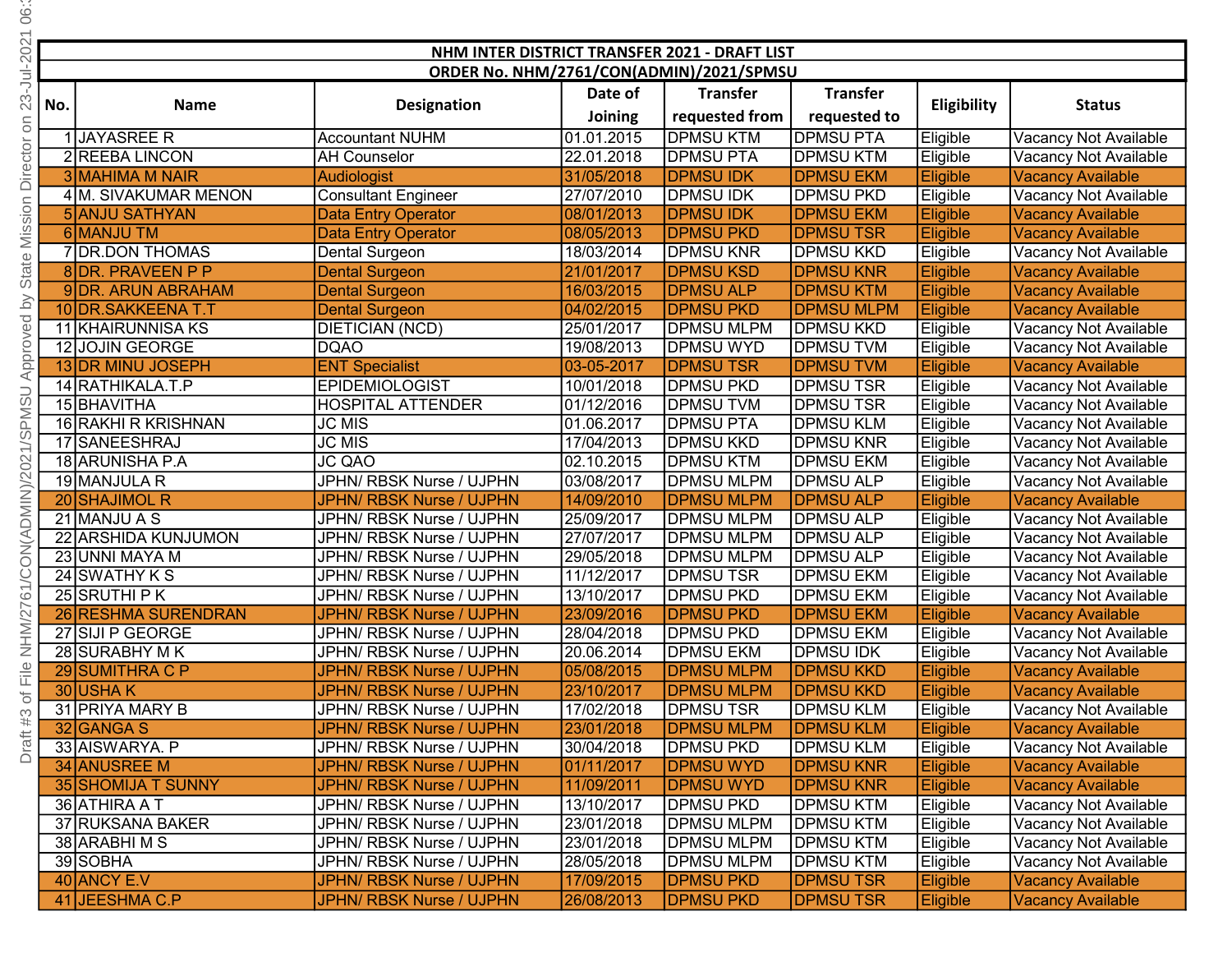| S                 |                                          |                                               |                                                          |                          |                                        |                               |                      |                                                      |  |  |
|-------------------|------------------------------------------|-----------------------------------------------|----------------------------------------------------------|--------------------------|----------------------------------------|-------------------------------|----------------------|------------------------------------------------------|--|--|
|                   |                                          |                                               |                                                          |                          |                                        |                               |                      |                                                      |  |  |
| 202               |                                          | NHM INTER DISTRICT TRANSFER 2021 - DRAFT LIST |                                                          |                          |                                        |                               |                      |                                                      |  |  |
| ミー                | ORDER No. NHM/2761/CON(ADMIN)/2021/SPMSU |                                               |                                                          |                          |                                        |                               |                      |                                                      |  |  |
| ∞<br>N            | No.                                      | <b>Name</b>                                   | <b>Designation</b>                                       | Date of                  | <b>Transfer</b>                        | <b>Transfer</b>               | Eligibility          | <b>Status</b>                                        |  |  |
| SΟ                |                                          |                                               |                                                          | Joining                  | requested from                         | requested to                  |                      |                                                      |  |  |
|                   |                                          | JAYASREE R                                    | <b>Accountant NUHM</b>                                   | 01.01.2015               | <b>DPMSU KTM</b>                       | <b>DPMSU PTA</b>              | Eligible             | Vacancy Not Available                                |  |  |
| Director          |                                          | 2 REEBA LINCON                                | <b>AH Counselor</b>                                      | 22.01.2018               | <b>DPMSU PTA</b>                       | DPMSU KTM                     | Eligible             | Vacancy Not Available                                |  |  |
|                   |                                          | 3 MAHIMA M NAIR                               | Audiologist                                              | 31/05/2018               | <b>DPMSU IDK</b>                       | <b>DPMSU EKM</b>              | Eligible             | <b>Vacancy Available</b>                             |  |  |
| sion              |                                          | 4 M. SIVAKUMAR MENON<br>5 ANJU SATHYAN        | <b>Consultant Engineer</b>                               | 27/07/2010               | DPMSU IDK<br><b>DPMSU IDK</b>          | DPMSU PKD<br><b>DPMSU EKM</b> | Eligible             | Vacancy Not Available                                |  |  |
|                   |                                          | 6 MANJU TM                                    | <b>Data Entry Operator</b><br><b>Data Entry Operator</b> | 08/01/2013<br>08/05/2013 | <b>DPMSU PKD</b>                       | <b>DPMSUTSR</b>               | Eligible<br>Eligible | <b>Vacancy Available</b><br><b>Vacancy Available</b> |  |  |
| Ϊsi               |                                          | 7 DR.DON THOMAS                               | Dental Surgeon                                           | 18/03/2014               | <b>DPMSU KNR</b>                       | <b>DPMSU KKD</b>              | Eligible             | Vacancy Not Available                                |  |  |
| State             |                                          | 8 DR. PRAVEEN P P                             | <b>Dental Surgeon</b>                                    | 21/01/2017               | <b>DPMSU KSD</b>                       | <b>DPMSU KNR</b>              | Eligible             | <b>Vacancy Available</b>                             |  |  |
|                   |                                          | 9 DR. ARUN ABRAHAM                            | <b>Dental Surgeon</b>                                    | 16/03/2015               | <b>DPMSU ALP</b>                       | <b>DPMSU KTM</b>              | Eligible             | <b>Vacancy Available</b>                             |  |  |
|                   |                                          | 10 DR. SAKKEENA T.T                           | <b>Dental Surgeon</b>                                    | 04/02/2015               | <b>DPMSU PKD</b>                       | <b>DPMSU MLPM</b>             | Eligible             | <b>Vacancy Available</b>                             |  |  |
| pevert c          |                                          | 11 KHAIRUNNISA KS                             | DIETICIAN (NCD)                                          | 25/01/2017               | <b>DPMSU MLPM</b>                      | DPMSU KKD                     | Eligible             | Vacancy Not Available                                |  |  |
|                   |                                          | 12 JOJIN GEORGE                               | <b>DQAO</b>                                              | 19/08/2013               | <b>DPMSU WYD</b>                       | DPMSU TVM                     | Eligible             | Vacancy Not Available                                |  |  |
|                   |                                          | 13 DR MINU JOSEPH                             | <b>ENT Specialist</b>                                    | 03-05-2017               | <b>DPMSUTSR</b>                        | <b>DPMSUTVM</b>               | Eligible             | <b>Vacancy Available</b>                             |  |  |
|                   |                                          | 14 RATHIKALA.T.P                              | <b>EPIDEMIOLOGIST</b>                                    | 10/01/2018               | <b>DPMSU PKD</b>                       | DPMSU TSR                     | Eligible             | Vacancy Not Available                                |  |  |
| PMS               |                                          | 15 BHAVITHA                                   | <b>HOSPITAL ATTENDER</b>                                 | 01/12/2016               | <b>DPMSUTVM</b>                        | DPMSU TSR                     | Eligible             | Vacancy Not Available                                |  |  |
|                   |                                          | 16 RAKHI R KRISHNAN                           | <b>JC MIS</b>                                            | 01.06.2017               | DPMSU PTA                              | <b>DPMSU KLM</b>              | Eligible             | Vacancy Not Available                                |  |  |
| $\frac{2}{10}$    |                                          | 17 SANEESHRAJ                                 | <b>JC MIS</b>                                            | 17/04/2013               | DPMSU KKD                              | DPMSU KNR                     | Eligible             | Vacancy Not Available                                |  |  |
| )/202             |                                          | 18 ARUNISHA P.A                               | <b>JC QAO</b>                                            | 02.10.2015               | <b>DPMSU KTM</b>                       | DPMSU EKM                     | Eligible             | Vacancy Not Available                                |  |  |
|                   |                                          | 19 MANJULA R                                  | JPHN/ RBSK Nurse / UJPHN                                 | 03/08/2017               | <b>DPMSU MLPM</b>                      | <b>DPMSU ALP</b>              | Eligible             | Vacancy Not Available                                |  |  |
| <b>DMIN</b>       |                                          | 20 SHAJIMOL R                                 | JPHN/ RBSK Nurse / UJPHN                                 | 14/09/2010               | <b>DPMSU MLPM</b>                      | <b>DPMSU ALP</b>              | Eligible             | <b>Vacancy Available</b>                             |  |  |
|                   |                                          | 21 MANJU A S                                  | JPHN/ RBSK Nurse / UJPHN                                 | 25/09/2017               | <b>DPMSU MLPM</b>                      | DPMSU ALP                     | Eligible             | Vacancy Not Available                                |  |  |
| ₹                 |                                          | 22 ARSHIDA KUNJUMON                           | JPHN/ RBSK Nurse / UJPHN                                 | 27/07/2017               | <b>DPMSU MLPM</b>                      | DPMSU ALP                     | Eligible             | Vacancy Not Available                                |  |  |
| $\frac{2}{\circ}$ |                                          | 23 UNNI MAYA M                                | JPHN/ RBSK Nurse / UJPHN                                 | 29/05/2018               | <b>DPMSU MLPM</b>                      | <b>DPMSU ALP</b>              | Eligible             | Vacancy Not Available                                |  |  |
|                   |                                          | 24 SWATHY K S                                 | JPHN/ RBSK Nurse / UJPHN                                 | 11/12/2017               | <b>DPMSUTSR</b>                        | <b>DPMSU EKM</b>              | Eligible             | Vacancy Not Available                                |  |  |
|                   |                                          | 25 SRUTHI P K                                 | JPHN/ RBSK Nurse / UJPHN                                 | 13/10/2017               | <b>DPMSU PKD</b>                       | <b>DPMSU EKM</b>              | Eligible             | Vacancy Not Available                                |  |  |
| .<br>N            |                                          | 26 RESHMA SURENDRAN                           | JPHN/ RBSK Nurse / UJPHN                                 | 23/09/2016               | <b>DPMSU PKD</b>                       | <b>DPMSU EKM</b>              | Eligible             | <b>Vacancy Available</b>                             |  |  |
| N<br>H<br>Z       |                                          | 27 SIJI P GEORGE                              | JPHN/ RBSK Nurse / UJPHN                                 | 28/04/2018               | DPMSU PKD                              | DPMSU EKM                     | Eligible             | Vacancy Not Available                                |  |  |
|                   |                                          | 28 SURABHY M K<br>29 SUMITHRA C P             | JPHN/ RBSK Nurse / UJPHN                                 | 20.06.2014               | DPMSU EKM                              | DPMSU IDK<br><b>DPMSU KKD</b> | Eligible             | Vacancy Not Available                                |  |  |
| of File           |                                          | $30$ USHAK                                    | JPHN/ RBSK Nurse / UJPHN<br>JPHN/ RBSK Nurse / UJPHN     | 05/08/2015<br>23/10/2017 | <b>DPMSU MLPM</b><br><b>DPMSU MLPM</b> | <b>DPMSU KKD</b>              | Eligible<br>Eligible | <b>Vacancy Available</b><br><b>Vacancy Available</b> |  |  |
|                   |                                          | 31 PRIYA MARY B                               | JPHN/ RBSK Nurse / UJPHN                                 | 17/02/2018               | <b>DPMSUTSR</b>                        | DPMSU KLM                     | Eligible             | Vacancy Not Available                                |  |  |
| #3                |                                          | 32 GANGA S                                    | JPHN/ RBSK Nurse / UJPHN                                 | 23/01/2018               | <b>DPMSU MLPM</b>                      | <b>DPMSU KLM</b>              | Eligible             | <b>Vacancy Available</b>                             |  |  |
| Draft             |                                          | 33 AISWARYA. P                                | JPHN/ RBSK Nurse / UJPHN                                 | 30/04/2018               | <b>DPMSU PKD</b>                       | DPMSU KLM                     | Eligible             | Vacancy Not Available                                |  |  |
|                   |                                          | 34 ANUSREE M                                  | JPHN/ RBSK Nurse / UJPHN                                 | 01/11/2017               | <b>DPMSU WYD</b>                       | <b>DPMSU KNR</b>              | Eligible             | <b>Vacancy Available</b>                             |  |  |
|                   |                                          | <b>35 SHOMIJA T SUNNY</b>                     | JPHN/ RBSK Nurse / UJPHN                                 | 11/09/2011               | <b>DPMSU WYD</b>                       | <b>DPMSU KNR</b>              | Eligible             | <b>Vacancy Available</b>                             |  |  |
|                   |                                          | 36 ATHIRA AT                                  | JPHN/ RBSK Nurse / UJPHN                                 | 13/10/2017               | <b>DPMSU PKD</b>                       | <b>DPMSU KTM</b>              | Eligible             | Vacancy Not Available                                |  |  |
|                   |                                          | 37 RUKSANA BAKER                              | JPHN/ RBSK Nurse / UJPHN                                 | 23/01/2018               | <b>DPMSU MLPM</b>                      | DPMSU KTM                     | Eligible             | Vacancy Not Available                                |  |  |
|                   |                                          | 38 ARABHIMS                                   | JPHN/ RBSK Nurse / UJPHN                                 | 23/01/2018               | <b>DPMSU MLPM</b>                      | DPMSU KTM                     | Eligible             | Vacancy Not Available                                |  |  |
|                   |                                          | 39 SOBHA                                      | JPHN/ RBSK Nurse / UJPHN                                 | 28/05/2018               | <b>DPMSU MLPM</b>                      | DPMSU KTM                     | Eligible             | Vacancy Not Available                                |  |  |
|                   |                                          | 40 ANCY E.V                                   | JPHN/ RBSK Nurse / UJPHN                                 | 17/09/2015               | <b>DPMSU PKD</b>                       | <b>DPMSUTSR</b>               | Eligible             | <b>Vacancy Available</b>                             |  |  |
|                   |                                          | 41 JEESHMA C.P                                | JPHN/ RBSK Nurse / UJPHN                                 | 26/08/2013               | <b>DPMSU PKD</b>                       | <b>DPMSUTSR</b>               | Eligible             | <b>Vacancy Available</b>                             |  |  |

Draft #3 of File NHM/2761/CON(ADMIN)/2021/SPMSU Approved by State Mission Director on 23-Jul-2021 06: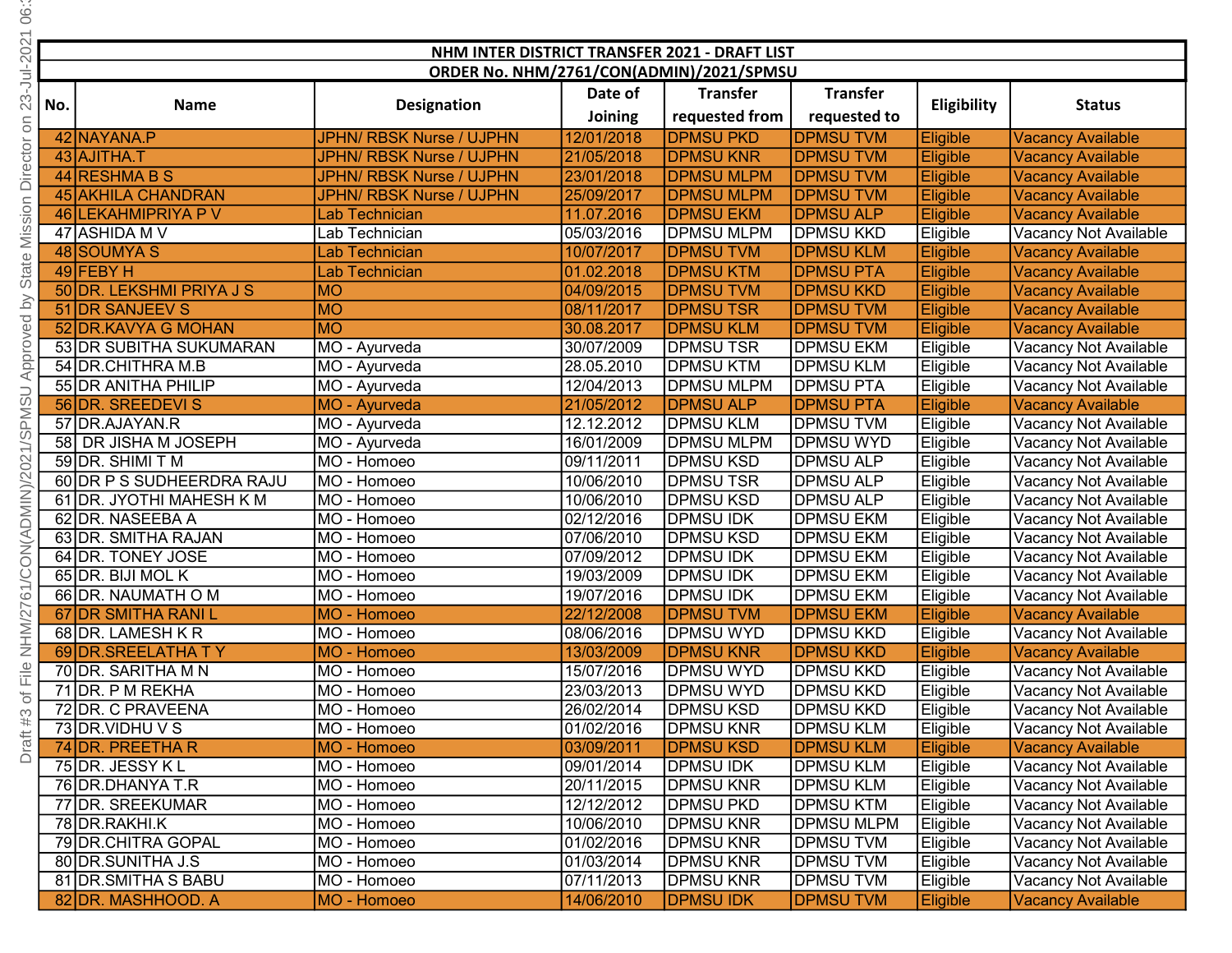| 66                      |                                          |                           |                                 |            |                                               |                   |                 |                          |
|-------------------------|------------------------------------------|---------------------------|---------------------------------|------------|-----------------------------------------------|-------------------|-----------------|--------------------------|
| $-2021$                 |                                          |                           |                                 |            | NHM INTER DISTRICT TRANSFER 2021 - DRAFT LIST |                   |                 |                          |
|                         | ORDER No. NHM/2761/CON(ADMIN)/2021/SPMSU |                           |                                 |            |                                               |                   |                 |                          |
| $23 - Jul$              |                                          |                           |                                 | Date of    | <b>Transfer</b>                               | <b>Transfer</b>   |                 |                          |
|                         | No.                                      | <b>Name</b>               | <b>Designation</b>              | Joining    | requested from                                | requested to      | Eligibility     | <b>Status</b>            |
| $\Xi$                   |                                          |                           |                                 |            |                                               |                   |                 |                          |
|                         |                                          | 42 NAYANA.P               | JPHN/ RBSK Nurse / UJPHN        | 12/01/2018 | <b>DPMSU PKD</b>                              | <b>DPMSU TVM</b>  | Eligible        | <b>Vacancy Available</b> |
|                         |                                          | 43 AJITHA.T               | <b>JPHN/ RBSK Nurse / UJPHN</b> | 21/05/2018 | <b>DPMSU KNR</b>                              | <b>DPMSU TVM</b>  | Eligible        | <b>Vacancy Available</b> |
|                         |                                          | 44 RESHMA B S             | JPHN/ RBSK Nurse / UJPHN        | 23/01/2018 | <b>DPMSU MLPM</b>                             | <b>DPMSU TVM</b>  | Eligible        | <b>Vacancy Available</b> |
|                         |                                          | 45 AKHILA CHANDRAN        | <b>JPHN/ RBSK Nurse / UJPHN</b> | 25/09/2017 | <b>DPMSU MLPM</b>                             | <b>DPMSUTVM</b>   | Eligible        | <b>Vacancy Available</b> |
| <b>Mission Director</b> |                                          | 46 LEKAHMIPRIYA P V       | <b>Lab Technician</b>           | 11.07.2016 | <b>DPMSU EKM</b>                              | <b>DPMSU ALP</b>  | Eligible        | <b>Vacancy Available</b> |
|                         |                                          | 47 ASHIDA M V             | Lab Technician                  | 05/03/2016 | DPMSU MLPM                                    | DPMSU KKD         | Eligible        | Vacancy Not Available    |
|                         |                                          | 48 SOUMYA S               | Lab Technician                  | 10/07/2017 | <b>DPMSUTVM</b>                               | <b>DPMSU KLM</b>  | Eligible        | <b>Vacancy Available</b> |
| State                   |                                          | 49 FEBY H                 | Lab Technician                  | 01.02.2018 | <b>DPMSU KTM</b>                              | <b>DPMSU PTA</b>  | Eligible        | <b>Vacancy Available</b> |
|                         |                                          | 50 DR. LEKSHMI PRIYA J S  | <b>MO</b>                       | 04/09/2015 | <b>DPMSU TVM</b>                              | <b>DPMSU KKD</b>  | Eligible        | <b>Vacancy Available</b> |
|                         |                                          | 51 DR SANJEEV S           | <b>MO</b>                       | 08/11/2017 | <b>DPMSUTSR</b>                               | <b>DPMSU TVM</b>  | Eligible        | <b>Vacancy Available</b> |
|                         |                                          | 52 DR.KAVYA G MOHAN       | <b>MO</b>                       | 30.08.2017 | <b>DPMSU KLM</b>                              | <b>DPMSU TVM</b>  | Eligible        | <b>Vacancy Available</b> |
| Approved by             |                                          | 53 DR SUBITHA SUKUMARAN   | MO - Ayurveda                   | 30/07/2009 | <b>DPMSUTSR</b>                               | <b>DPMSU EKM</b>  | Eligible        | Vacancy Not Available    |
|                         |                                          | 54 DR.CHITHRA M.B         | MO - Ayurveda                   | 28.05.2010 | <b>DPMSU KTM</b>                              | <b>DPMSU KLM</b>  | Eligible        | Vacancy Not Available    |
|                         |                                          | 55 DR ANITHA PHILIP       | MO - Ayurveda                   | 12/04/2013 | <b>DPMSU MLPM</b>                             | <b>DPMSU PTA</b>  | Eligible        | Vacancy Not Available    |
|                         |                                          | 56 DR. SREEDEVI S         | MO - Ayurveda                   | 21/05/2012 | <b>DPMSU ALP</b>                              | <b>DPMSU PTA</b>  | Eligible        | <b>Vacancy Available</b> |
|                         |                                          | 57 DR.AJAYAN.R            | MO - Ayurveda                   | 12.12.2012 | <b>DPMSU KLM</b>                              | <b>DPMSUTVM</b>   | Eligible        | Vacancy Not Available    |
|                         |                                          | 58 DR JISHA M JOSEPH      | MO - Ayurveda                   | 16/01/2009 | DPMSU MLPM                                    | DPMSU WYD         | Eligible        | Vacancy Not Available    |
| /CON(ADMIN)/2021/SPMSU  |                                          | 59 DR. SHIMI T M          | MO - Homoeo                     | 09/11/2011 | DPMSU KSD                                     | <b>DPMSU ALP</b>  | Eligible        | Vacancy Not Available    |
|                         |                                          | 60 DR P S SUDHEERDRA RAJU | MO - Homoeo                     | 10/06/2010 | DPMSU TSR                                     | <b>DPMSU ALP</b>  | Eligible        | Vacancy Not Available    |
|                         |                                          | 61 DR. JYOTHI MAHESH K M  | MO - Homoeo                     | 10/06/2010 | <b>DPMSU KSD</b>                              | <b>DPMSU ALP</b>  | Eligible        | Vacancy Not Available    |
|                         |                                          | 62 DR. NASEEBA A          | MO - Homoeo                     | 02/12/2016 | <b>DPMSU IDK</b>                              | <b>DPMSU EKM</b>  | Eligible        | Vacancy Not Available    |
|                         |                                          | 63 DR. SMITHA RAJAN       | MO - Homoeo                     | 07/06/2010 | <b>DPMSU KSD</b>                              | <b>DPMSU EKM</b>  | Eligible        | Vacancy Not Available    |
|                         |                                          | 64 DR. TONEY JOSE         | MO - Homoeo                     | 07/09/2012 | <b>DPMSU IDK</b>                              | <b>DPMSU EKM</b>  | Eligible        | Vacancy Not Available    |
|                         |                                          | 65 DR. BIJI MOL K         | MO - Homoeo                     | 19/03/2009 | <b>DPMSU IDK</b>                              | <b>DPMSU EKM</b>  | Eligible        | Vacancy Not Available    |
| $\overline{6}$ 1.       |                                          | 66 DR. NAUMATH O M        | MO - Homoeo                     | 19/07/2016 | <b>DPMSU IDK</b>                              | <b>DPMSU EKM</b>  | Eligible        | Vacancy Not Available    |
|                         |                                          | 67 DR SMITHA RANI L       | MO - Homoeo                     | 22/12/2008 | <b>DPMSUTVM</b>                               | <b>DPMSU EKM</b>  | <b>Eligible</b> | <b>Vacancy Available</b> |
| NHM/2                   |                                          | 68 DR. LAMESH K R         | MO - Homoeo                     | 08/06/2016 | DPMSU WYD                                     | DPMSU KKD         | Eligible        | Vacancy Not Available    |
|                         |                                          | 69 DR. SREELATHA TY       | MO - Homoeo                     | 13/03/2009 | <b>DPMSU KNR</b>                              | <b>DPMSU KKD</b>  | <b>Eligible</b> | <b>Vacancy Available</b> |
| $\frac{e}{111}$         |                                          | 70 DR. SARITHA M N        | MO - Homoeo                     | 15/07/2016 | <b>DPMSU WYD</b>                              | <b>DPMSU KKD</b>  | Eligible        | Vacancy Not Available    |
| ð                       |                                          | 71 DR. P M REKHA          | MO - Homoeo                     | 23/03/2013 | DPMSU WYD                                     | DPMSU KKD         | Eligible        | Vacancy Not Available    |
|                         |                                          | 72 DR. C PRAVEENA         | MO - Homoeo                     | 26/02/2014 | DPMSU KSD                                     | <b>DPMSU KKD</b>  | Eligible        | Vacancy Not Available    |
| #3                      |                                          | 73 DR. VIDHU V S          | MO - Homoeo                     | 01/02/2016 | DPMSU KNR                                     | <b>DPMSU KLM</b>  | Eligible        | Vacancy Not Available    |
| Draft                   |                                          | 74 DR. PREETHA R          | MO - Homoeo                     | 03/09/2011 | <b>DPMSU KSD</b>                              | <b>DPMSU KLM</b>  | Eligible        | <b>Vacancy Available</b> |
|                         |                                          | 75 DR. JESSY K L          | MO - Homoeo                     | 09/01/2014 | DPMSU IDK                                     | <b>DPMSU KLM</b>  | Eligible        | Vacancy Not Available    |
|                         |                                          | 76 DR.DHANYA T.R          | MO - Homoeo                     | 20/11/2015 | DPMSU KNR                                     | <b>DPMSU KLM</b>  | Eligible        | Vacancy Not Available    |
|                         |                                          | 77 DR. SREEKUMAR          | MO - Homoeo                     | 12/12/2012 | DPMSU PKD                                     | <b>DPMSU KTM</b>  | Eligible        | Vacancy Not Available    |
|                         |                                          | 78 DR.RAKHI.K             | MO - Homoeo                     | 10/06/2010 | DPMSU KNR                                     | <b>DPMSU MLPM</b> | Eligible        | Vacancy Not Available    |
|                         |                                          | 79 DR.CHITRA GOPAL        | MO - Homoeo                     | 01/02/2016 | <b>DPMSU KNR</b>                              | <b>DPMSUTVM</b>   | Eligible        | Vacancy Not Available    |
|                         |                                          | 80 DR.SUNITHA J.S         | MO - Homoeo                     | 01/03/2014 | <b>DPMSU KNR</b>                              | <b>DPMSU TVM</b>  | Eligible        | Vacancy Not Available    |
|                         |                                          |                           |                                 |            |                                               |                   |                 |                          |
|                         |                                          | 81 DR. SMITHA S BABU      | MO - Homoeo                     | 07/11/2013 | DPMSU KNR                                     | <b>DPMSU TVM</b>  | Eligible        | Vacancy Not Available    |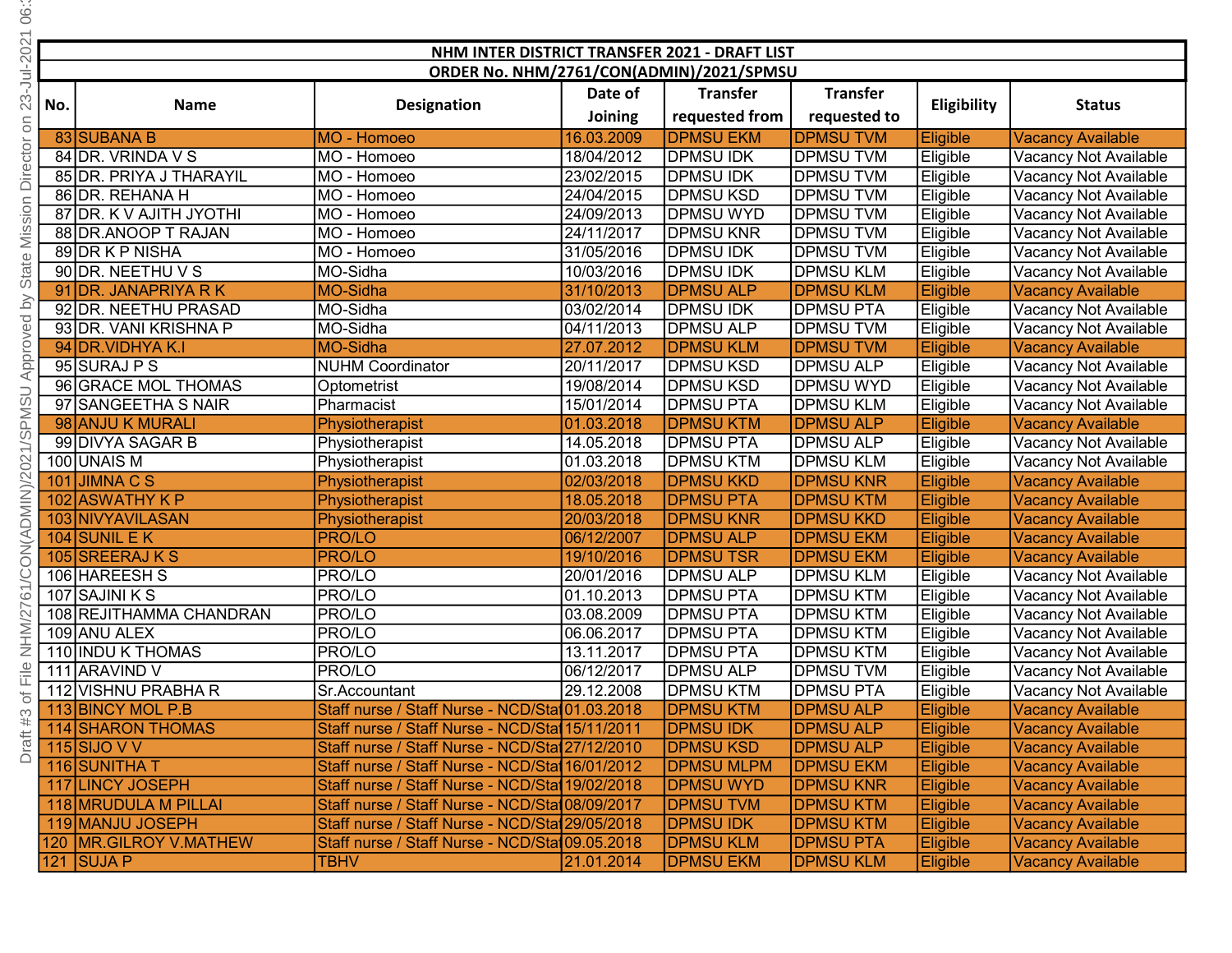| 66                                         |     |                                                 |                                                                                                    |            |                                       |                                      |                      |                                                      |
|--------------------------------------------|-----|-------------------------------------------------|----------------------------------------------------------------------------------------------------|------------|---------------------------------------|--------------------------------------|----------------------|------------------------------------------------------|
|                                            |     |                                                 | NHM INTER DISTRICT TRANSFER 2021 - DRAFT LIST                                                      |            |                                       |                                      |                      |                                                      |
| 23-Jul-2021                                |     |                                                 | ORDER No. NHM/2761/CON(ADMIN)/2021/SPMSU                                                           |            |                                       |                                      |                      |                                                      |
|                                            |     |                                                 |                                                                                                    | Date of    | <b>Transfer</b>                       | <b>Transfer</b>                      |                      |                                                      |
|                                            | No. | <b>Name</b>                                     | <b>Designation</b>                                                                                 | Joining    | requested from                        | requested to                         | Eligibility          | <b>Status</b>                                        |
| $\Xi$                                      |     | 83 SUBANA B                                     | MO - Homoeo                                                                                        | 16.03.2009 | <b>DPMSU EKM</b>                      | <b>DPMSU TVM</b>                     | Eligible             | <b>Vacancy Available</b>                             |
| Director                                   |     | 84 DR. VRINDA V S                               | MO - Homoeo                                                                                        | 18/04/2012 | <b>DPMSU IDK</b>                      | <b>DPMSU TVM</b>                     | Eligible             | Vacancy Not Available                                |
|                                            |     | 85 DR. PRIYA J THARAYIL                         | MO - Homoeo                                                                                        | 23/02/2015 | <b>DPMSU IDK</b>                      | <b>DPMSUTVM</b>                      | Eligible             | Vacancy Not Available                                |
|                                            |     | 86 DR. REHANA H                                 | MO - Homoeo                                                                                        | 24/04/2015 | <b>DPMSU KSD</b>                      | <b>DPMSUTVM</b>                      | Eligible             | Vacancy Not Available                                |
| Mission                                    |     | 87 DR. K V AJITH JYOTHI                         | MO - Homoeo                                                                                        | 24/09/2013 | <b>DPMSU WYD</b>                      | <b>DPMSUTVM</b>                      | Eligible             | Vacancy Not Available                                |
|                                            |     | 88 DR.ANOOP T RAJAN                             | MO - Homoeo                                                                                        | 24/11/2017 | <b>DPMSU KNR</b>                      | <b>DPMSU TVM</b>                     | Eligible             | Vacancy Not Available                                |
|                                            |     | 89 DR K P NISHA                                 | MO - Homoeo                                                                                        | 31/05/2016 | <b>DPMSU IDK</b>                      | <b>DPMSU TVM</b>                     | Eligible             | Vacancy Not Available                                |
| State                                      |     | 90 DR. NEETHU V S                               | MO-Sidha                                                                                           | 10/03/2016 | <b>DPMSU IDK</b>                      | <b>DPMSU KLM</b>                     | Eligible             | Vacancy Not Available                                |
|                                            |     | 91 DR. JANAPRIYA R K                            | <b>MO-Sidha</b>                                                                                    | 31/10/2013 | <b>DPMSU ALP</b>                      | <b>DPMSU KLM</b>                     | Eligible             | <b>Vacancy Available</b>                             |
| $\geq$                                     |     | 92 DR. NEETHU PRASAD                            | MO-Sidha                                                                                           | 03/02/2014 | <b>DPMSU IDK</b>                      | <b>DPMSU PTA</b>                     | Eligible             | Vacancy Not Available                                |
|                                            |     | 93 DR. VANI KRISHNA P                           | MO-Sidha                                                                                           | 04/11/2013 | <b>DPMSU ALP</b>                      | <b>DPMSU TVM</b>                     | Eligible             | Vacancy Not Available                                |
|                                            |     | 94 DR. VIDHYA K.I                               | <b>MO-Sidha</b>                                                                                    | 27.07.2012 | <b>DPMSU KLM</b>                      | <b>DPMSUTVM</b>                      | Eligible             | <b>Vacancy Available</b>                             |
|                                            |     | 95 SURAJ P S                                    | <b>NUHM Coordinator</b>                                                                            | 20/11/2017 | <b>DPMSU KSD</b>                      | <b>DPMSU ALP</b>                     | Eligible             | Vacancy Not Available                                |
|                                            |     | 96 GRACE MOL THOMAS                             | Optometrist                                                                                        | 19/08/2014 | <b>DPMSU KSD</b>                      | <b>DPMSU WYD</b>                     | Eligible             | Vacancy Not Available                                |
|                                            |     | 97 SANGEETHA S NAIR                             | Pharmacist                                                                                         | 15/01/2014 | <b>DPMSU PTA</b>                      | <b>DPMSU KLM</b>                     | Eligible             | Vacancy Not Available                                |
|                                            |     | 98 ANJU K MURALI                                | Physiotherapist                                                                                    | 01.03.2018 | <b>DPMSU KTM</b>                      | <b>DPMSU ALP</b>                     | Eligible             | <b>Vacancy Available</b>                             |
|                                            |     | 99 DIVYA SAGAR B                                | Physiotherapist                                                                                    | 14.05.2018 | <b>DPMSU PTA</b>                      | <b>DPMSU ALP</b>                     | Eligible             | Vacancy Not Available                                |
|                                            |     | 100 UNAIS M                                     | Physiotherapist                                                                                    | 01.03.2018 | <b>DPMSU KTM</b>                      | <b>DPMSU KLM</b>                     | Eligible             | Vacancy Not Available                                |
| /CON(ADMIN)/2021/SPMSU Approved            |     | $101$ JIMNACS                                   | Physiotherapist                                                                                    | 02/03/2018 | <b>DPMSU KKD</b>                      | <b>DPMSU KNR</b>                     | Eligible             | <b>Vacancy Available</b>                             |
|                                            |     | 102 ASWATHY K P                                 | Physiotherapist                                                                                    | 18.05.2018 | <b>DPMSU PTA</b>                      | <b>DPMSU KTM</b>                     | Eligible             | <b>Vacancy Available</b>                             |
|                                            |     | 103 NIVYAVILASAN                                | Physiotherapist                                                                                    | 20/03/2018 | <b>DPMSU KNR</b>                      | <b>DPMSU KKD</b>                     | Eligible             | <b>Vacancy Available</b>                             |
|                                            |     | 104 SUNIL E $K$                                 | <b>PRO/LO</b>                                                                                      | 06/12/2007 | <b>DPMSU ALP</b>                      | <b>DPMSU EKM</b>                     | Eligible             | <b>Vacancy Available</b>                             |
|                                            |     | 105 SREERAJ K S                                 | <b>PRO/LO</b>                                                                                      | 19/10/2016 | <b>DPMSUTSR</b>                       | <b>DPMSU EKM</b>                     | Eligible             | <b>Vacancy Available</b>                             |
|                                            |     | 106 HAREESH S                                   | <b>PRO/LO</b>                                                                                      | 20/01/2016 | <b>DPMSU ALP</b>                      | <b>DPMSU KLM</b>                     | Eligible             | Vacancy Not Available                                |
| $\overline{6}$ 1.                          |     | 107 SAJINI K S                                  | <b>PRO/LO</b>                                                                                      | 01.10.2013 | <b>DPMSU PTA</b>                      | <b>DPMSU KTM</b>                     | Eligible             | Vacancy Not Available                                |
| NHM/27                                     |     | 108 REJITHAMMA CHANDRAN                         | PRO/LO                                                                                             | 03.08.2009 | DPMSU PTA                             | DPMSU KTM                            | Eligible             | Vacancy Not Available                                |
|                                            |     | 109 ANU ALEX                                    | <b>PRO/LO</b>                                                                                      | 06.06.2017 | DPMSU PTA                             | DPMSU KTM                            | Eligible             | Vacancy Not Available                                |
|                                            |     | 110 INDU K THOMAS                               | PRO/LO                                                                                             | 13.11.2017 | DPMSU PTA                             | <b>DPMSU KTM</b>                     | Eligible             | Vacancy Not Available                                |
| $\frac{\mathbb{D}}{\mathbb{I} \mathbb{L}}$ |     | 111 ARAVIND V                                   | PRO/LO                                                                                             | 06/12/2017 | DPMSU ALP                             | <b>DPMSU TVM</b>                     | Eligible             | Vacancy Not Available                                |
| $\overleftarrow{\mathrm{o}}$               |     | 112 VISHNU PRABHA R                             | Sr.Accountant                                                                                      | 29.12.2008 | <b>DPMSU KTM</b>                      | <b>DPMSU PTA</b>                     | Eligible             | Vacancy Not Available                                |
|                                            |     | 113 BINCY MOL P.B                               | Staff nurse / Staff Nurse - NCD/Stat01.03.2018                                                     |            | <b>DPMSU KTM</b>                      | <b>DPMSU ALP</b>                     | Eligible             | <b>Vacancy Available</b>                             |
| Draft #3                                   |     | 114 SHARON THOMAS                               | Staff nurse / Staff Nurse - NCD/Stat 15/11/2011                                                    |            | <b>DPMSU IDK</b>                      | <b>DPMSU ALP</b>                     | Eligible             | <b>Vacancy Available</b>                             |
|                                            |     | 115 $\overline{\text{SIO}}$ V V<br>116 SUNITHAT | Staff nurse / Staff Nurse - NCD/Stat 27/12/2010<br>Staff nurse / Staff Nurse - NCD/Stat 16/01/2012 |            | <b>DPMSU KSD</b><br><b>DPMSU MLPM</b> | <b>DPMSU ALP</b><br><b>DPMSU EKM</b> | Eligible             | <b>Vacancy Available</b><br><b>Vacancy Available</b> |
|                                            |     | 117 LINCY JOSEPH                                | Staff nurse / Staff Nurse - NCD/Stat 19/02/2018                                                    |            | <b>DPMSU WYD</b>                      | <b>DPMSU KNR</b>                     | Eligible<br>Eligible | <b>Vacancy Available</b>                             |
|                                            |     | 118 MRUDULA M PILLAI                            | Staff nurse / Staff Nurse - NCD/Sta108/09/2017                                                     |            | <b>DPMSU TVM</b>                      | <b>DPMSU KTM</b>                     | Eligible             | <b>Vacancy Available</b>                             |
|                                            |     | 119 MANJU JOSEPH                                | Staff nurse / Staff Nurse - NCD/Stat 29/05/2018                                                    |            | <b>DPMSU IDK</b>                      | <b>DPMSU KTM</b>                     | Eligible             | <b>Vacancy Available</b>                             |
|                                            |     | 120   MR. GILROY V. MATHEW                      | Staff nurse / Staff Nurse - NCD/Sta109.05.2018                                                     |            | <b>DPMSU KLM</b>                      | <b>DPMSU PTA</b>                     | Eligible             | <b>Vacancy Available</b>                             |
|                                            |     | 121 SUJA P                                      | <b>TBHV</b>                                                                                        | 21.01.2014 | <b>DPMSU EKM</b>                      | <b>DPMSU KLM</b>                     | <b>Eligible</b>      | <b>Vacancy Available</b>                             |
|                                            |     |                                                 |                                                                                                    |            |                                       |                                      |                      |                                                      |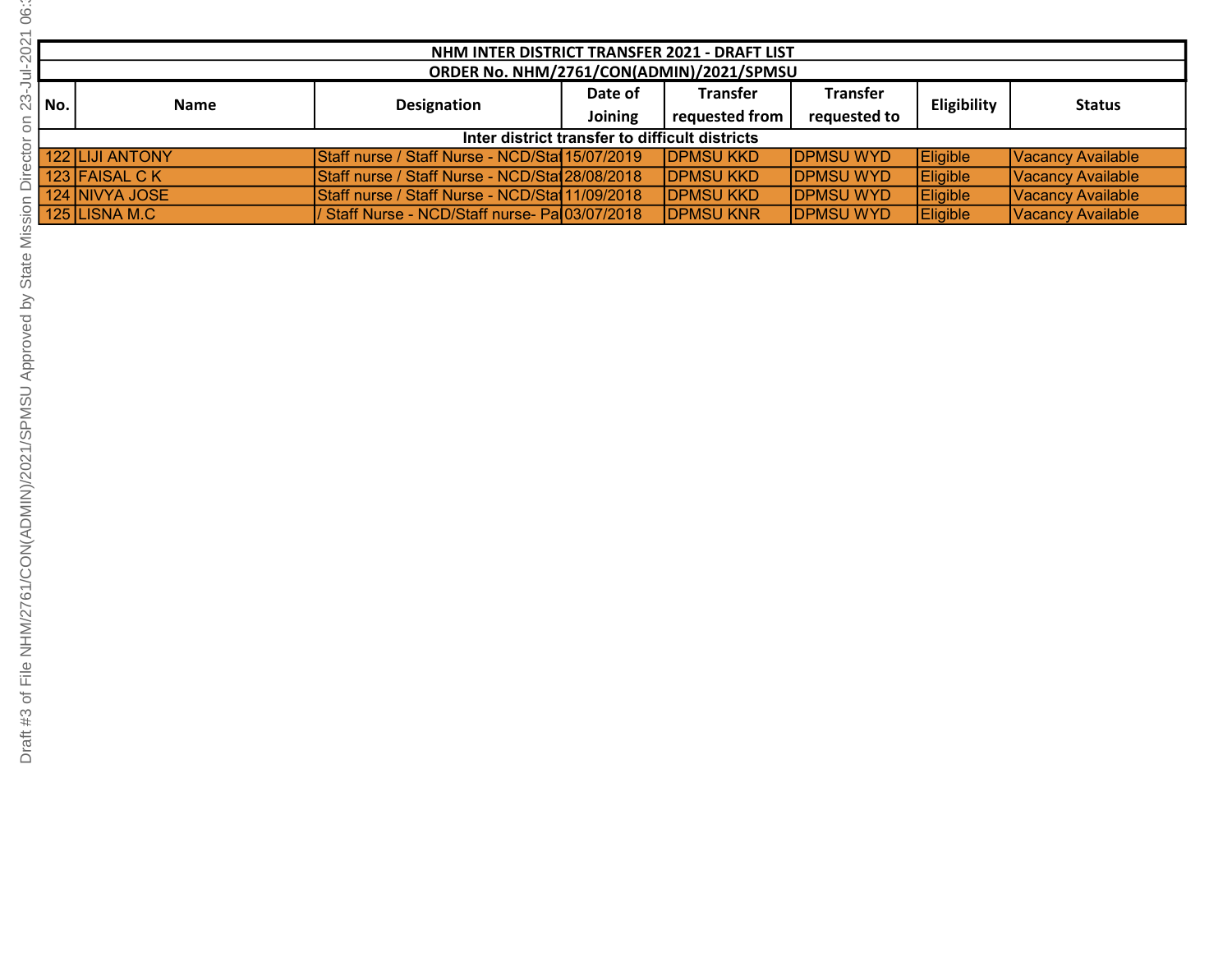|      | NHM INTER DISTRICT TRANSFER 2021 - DRAFT LIST  |                                                 |                |                   |                   |                 |                   |  |  |  |
|------|------------------------------------------------|-------------------------------------------------|----------------|-------------------|-------------------|-----------------|-------------------|--|--|--|
|      | ORDER No. NHM/2761/CON(ADMIN)/2021/SPMSU       |                                                 |                |                   |                   |                 |                   |  |  |  |
|      | <b>Name</b>                                    | Designation                                     | Date of        | <b>Transfer</b>   | <b>Transfer</b>   | Eligibility     | <b>Status</b>     |  |  |  |
| No.l |                                                |                                                 | <b>Joining</b> | requested from    | requested to      |                 |                   |  |  |  |
|      | Inter district transfer to difficult districts |                                                 |                |                   |                   |                 |                   |  |  |  |
|      | <b>122 LIJI ANTONY</b>                         | Staff nurse / Staff Nurse - NCD/Stat 15/07/2019 |                | <b>IDPMSU KKD</b> | <b>DPMSU WYD</b>  | Eligible        | Vacancy Available |  |  |  |
|      | 123 FAISAL CK                                  | Staff nurse / Staff Nurse - NCD/Sta128/08/2018  |                | <b>IDPMSU KKD</b> | <b>IDPMSU WYD</b> | Eligible        | Vacancy Available |  |  |  |
|      | 124 NIVYA JOSE                                 | Staff nurse / Staff Nurse - NCD/Stat 11/09/2018 |                | <b>IDPMSU KKD</b> | <b>IDPMSU WYD</b> | <b>Eligible</b> | Vacancy Available |  |  |  |
|      | 125 LISNA M.C                                  | / Staff Nurse - NCD/Staff nurse- Pa 03/07/2018  |                | <b>DPMSU KNR</b>  | <b>DPMSU WYD</b>  | <b>Eligible</b> | Vacancy Available |  |  |  |